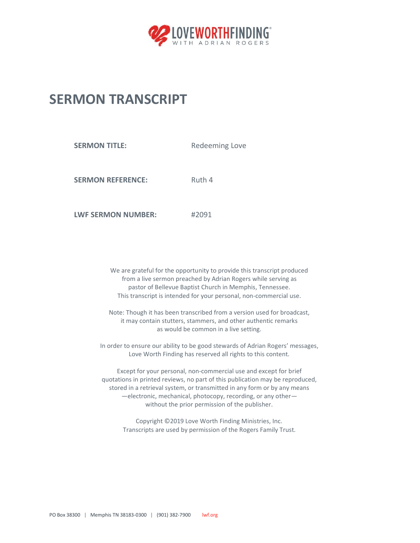

## **SERMON TRANSCRIPT**

**SERMON TITLE:** Redeeming Love

**SERMON REFERENCE:** Ruth 4

**LWF SERMON NUMBER:** #2091

We are grateful for the opportunity to provide this transcript produced from a live sermon preached by Adrian Rogers while serving as pastor of Bellevue Baptist Church in Memphis, Tennessee. This transcript is intended for your personal, non-commercial use.

Note: Though it has been transcribed from a version used for broadcast, it may contain stutters, stammers, and other authentic remarks as would be common in a live setting.

In order to ensure our ability to be good stewards of Adrian Rogers' messages, Love Worth Finding has reserved all rights to this content.

Except for your personal, non-commercial use and except for brief quotations in printed reviews, no part of this publication may be reproduced, stored in a retrieval system, or transmitted in any form or by any means —electronic, mechanical, photocopy, recording, or any other without the prior permission of the publisher.

Copyright ©2019 Love Worth Finding Ministries, Inc. Transcripts are used by permission of the Rogers Family Trust.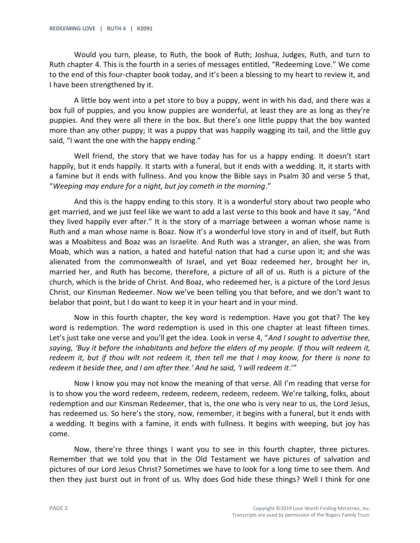Would you turn, please, to Ruth, the book of Ruth; Joshua, Judges, Ruth, and turn to Ruth chapter 4. This is the fourth in a series of messages entitled, "Redeeming Love." We come to the end of this four-chapter book today, and it's been a blessing to my heart to review it, and I have been strengthened by it.

A little boy went into a pet store to buy a puppy, went in with his dad, and there was a box full of puppies, and you know puppies are wonderful, at least they are as long as they're puppies. And they were all there in the box. But there's one little puppy that the boy wanted more than any other puppy; it was a puppy that was happily wagging its tail, and the little guy said, "I want the one with the happy ending."

Well friend, the story that we have today has for us a happy ending. It doesn't start happily, but it ends happily. It starts with a funeral, but it ends with a wedding. It, it starts with a famine but it ends with fullness. And you know the Bible says in Psalm 30 and verse 5 that, "*Weeping may endure for a night, but joy cometh in the morning*."

And this is the happy ending to this story. It is a wonderful story about two people who get married, and we just feel like we want to add a last verse to this book and have it say, "And they lived happily ever after." It is the story of a marriage between a woman whose name is Ruth and a man whose name is Boaz. Now it's a wonderful love story in and of itself, but Ruth was a Moabitess and Boaz was an Israelite. And Ruth was a stranger, an alien, she was from Moab, which was a nation, a hated and hateful nation that had a curse upon it; and she was alienated from the commonwealth of Israel, and yet Boaz redeemed her, brought her in, married her, and Ruth has become, therefore, a picture of all of us. Ruth is a picture of the church, which is the bride of Christ. And Boaz, who redeemed her, is a picture of the Lord Jesus Christ, our Kinsman Redeemer. Now we've been telling you that before, and we don't want to belabor that point, but I do want to keep it in your heart and in your mind.

Now in this fourth chapter, the key word is redemption. Have you got that? The key word is redemption. The word redemption is used in this one chapter at least fifteen times. Let's just take one verse and you'll get the idea. Look in verse 4, "*And I sought to advertise thee, saying, 'Buy it before the inhabitants and before the elders of my people. If thou wilt redeem it, redeem it, but if thou wilt not redeem it, then tell me that I may know, for there is none to redeem it beside thee, and I am after thee.' And he said, 'I will redeem it*.'"

Now I know you may not know the meaning of that verse. All I'm reading that verse for is to show you the word redeem, redeem, redeem, redeem, redeem. We're talking, folks, about redemption and our Kinsman Redeemer, that is, the one who is very near to us, the Lord Jesus, has redeemed us. So here's the story, now, remember, it begins with a funeral, but it ends with a wedding. It begins with a famine, it ends with fullness. It begins with weeping, but joy has come.

Now, there're three things I want you to see in this fourth chapter, three pictures. Remember that we told you that in the Old Testament we have pictures of salvation and pictures of our Lord Jesus Christ? Sometimes we have to look for a long time to see them. And then they just burst out in front of us. Why does God hide these things? Well I think for one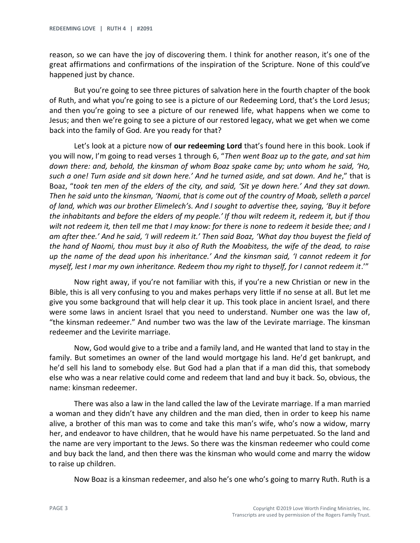reason, so we can have the joy of discovering them. I think for another reason, it's one of the great affirmations and confirmations of the inspiration of the Scripture. None of this could've happened just by chance.

But you're going to see three pictures of salvation here in the fourth chapter of the book of Ruth, and what you're going to see is a picture of our Redeeming Lord, that's the Lord Jesus; and then you're going to see a picture of our renewed life, what happens when we come to Jesus; and then we're going to see a picture of our restored legacy, what we get when we come back into the family of God. Are you ready for that?

Let's look at a picture now of **our redeeming Lord** that's found here in this book. Look if you will now, I'm going to read verses 1 through 6, "*Then went Boaz up to the gate, and sat him down there: and, behold, the kinsman of whom Boaz spake came by; unto whom he said, 'Ho, such a one! Turn aside and sit down here.' And he turned aside, and sat down. And he*," that is Boaz, "*took ten men of the elders of the city, and said, 'Sit ye down here.' And they sat down. Then he said unto the kinsman, 'Naomi, that is come out of the country of Moab, selleth a parcel of land, which was our brother Elimelech's. And I sought to advertise thee, saying, 'Buy it before the inhabitants and before the elders of my people.' If thou wilt redeem it, redeem it, but if thou wilt not redeem it, then tell me that I may know: for there is none to redeem it beside thee; and I am after thee.' And he said, 'I will redeem it.' Then said Boaz, 'What day thou buyest the field of the hand of Naomi, thou must buy it also of Ruth the Moabitess, the wife of the dead, to raise up the name of the dead upon his inheritance.' And the kinsman said, 'I cannot redeem it for myself, lest I mar my own inheritance. Redeem thou my right to thyself, for I cannot redeem it*.'"

Now right away, if you're not familiar with this, if you're a new Christian or new in the Bible, this is all very confusing to you and makes perhaps very little if no sense at all. But let me give you some background that will help clear it up. This took place in ancient Israel, and there were some laws in ancient Israel that you need to understand. Number one was the law of, "the kinsman redeemer." And number two was the law of the Levirate marriage. The kinsman redeemer and the Levirite marriage.

Now, God would give to a tribe and a family land, and He wanted that land to stay in the family. But sometimes an owner of the land would mortgage his land. He'd get bankrupt, and he'd sell his land to somebody else. But God had a plan that if a man did this, that somebody else who was a near relative could come and redeem that land and buy it back. So, obvious, the name: kinsman redeemer.

There was also a law in the land called the law of the Levirate marriage. If a man married a woman and they didn't have any children and the man died, then in order to keep his name alive, a brother of this man was to come and take this man's wife, who's now a widow, marry her, and endeavor to have children, that he would have his name perpetuated. So the land and the name are very important to the Jews. So there was the kinsman redeemer who could come and buy back the land, and then there was the kinsman who would come and marry the widow to raise up children.

Now Boaz is a kinsman redeemer, and also he's one who's going to marry Ruth. Ruth is a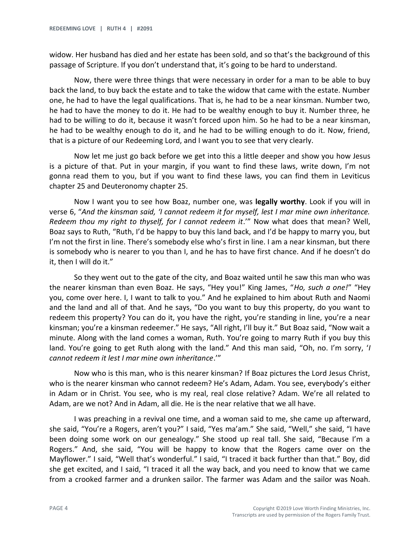widow. Her husband has died and her estate has been sold, and so that's the background of this passage of Scripture. If you don't understand that, it's going to be hard to understand.

Now, there were three things that were necessary in order for a man to be able to buy back the land, to buy back the estate and to take the widow that came with the estate. Number one, he had to have the legal qualifications. That is, he had to be a near kinsman. Number two, he had to have the money to do it. He had to be wealthy enough to buy it. Number three, he had to be willing to do it, because it wasn't forced upon him. So he had to be a near kinsman, he had to be wealthy enough to do it, and he had to be willing enough to do it. Now, friend, that is a picture of our Redeeming Lord, and I want you to see that very clearly.

Now let me just go back before we get into this a little deeper and show you how Jesus is a picture of that. Put in your margin, if you want to find these laws, write down, I'm not gonna read them to you, but if you want to find these laws, you can find them in Leviticus chapter 25 and Deuteronomy chapter 25.

Now I want you to see how Boaz, number one, was **legally worthy**. Look if you will in verse 6, "*And the kinsman said, 'I cannot redeem it for myself, lest I mar mine own inheritance. Redeem thou my right to thyself, for I cannot redeem it*.'" Now what does that mean? Well, Boaz says to Ruth, "Ruth, I'd be happy to buy this land back, and I'd be happy to marry you, but I'm not the first in line. There's somebody else who's first in line. I am a near kinsman, but there is somebody who is nearer to you than I, and he has to have first chance. And if he doesn't do it, then I will do it."

So they went out to the gate of the city, and Boaz waited until he saw this man who was the nearer kinsman than even Boaz. He says, "Hey you!" King James, "*Ho, such a one!*" "Hey you, come over here. I, I want to talk to you." And he explained to him about Ruth and Naomi and the land and all of that. And he says, "Do you want to buy this property, do you want to redeem this property? You can do it, you have the right, you're standing in line, you're a near kinsman; you're a kinsman redeemer." He says, "All right, I'll buy it." But Boaz said, "Now wait a minute. Along with the land comes a woman, Ruth. You're going to marry Ruth if you buy this land. You're going to get Ruth along with the land." And this man said, "Oh, no. I'm sorry, '*I cannot redeem it lest I mar mine own inheritance*.'"

Now who is this man, who is this nearer kinsman? If Boaz pictures the Lord Jesus Christ, who is the nearer kinsman who cannot redeem? He's Adam, Adam. You see, everybody's either in Adam or in Christ. You see, who is my real, real close relative? Adam. We're all related to Adam, are we not? And in Adam, all die. He is the near relative that we all have.

I was preaching in a revival one time, and a woman said to me, she came up afterward, she said, "You're a Rogers, aren't you?" I said, "Yes ma'am." She said, "Well," she said, "I have been doing some work on our genealogy." She stood up real tall. She said, "Because I'm a Rogers." And, she said, "You will be happy to know that the Rogers came over on the Mayflower." I said, "Well that's wonderful." I said, "I traced it back further than that." Boy, did she get excited, and I said, "I traced it all the way back, and you need to know that we came from a crooked farmer and a drunken sailor. The farmer was Adam and the sailor was Noah.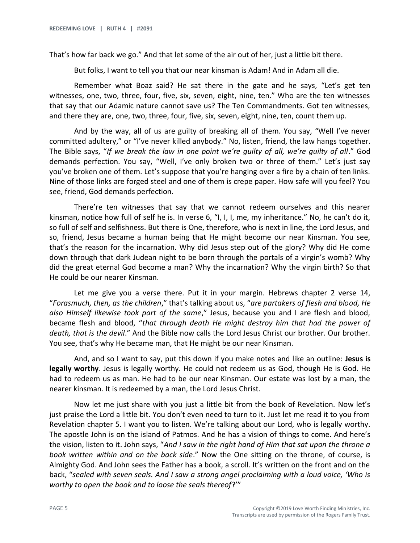That's how far back we go." And that let some of the air out of her, just a little bit there.

But folks, I want to tell you that our near kinsman is Adam! And in Adam all die.

Remember what Boaz said? He sat there in the gate and he says, "Let's get ten witnesses, one, two, three, four, five, six, seven, eight, nine, ten." Who are the ten witnesses that say that our Adamic nature cannot save us? The Ten Commandments. Got ten witnesses, and there they are, one, two, three, four, five, six, seven, eight, nine, ten, count them up.

And by the way, all of us are guilty of breaking all of them. You say, "Well I've never committed adultery," or "I've never killed anybody." No, listen, friend, the law hangs together. The Bible says, "*If we break the law in one point we're guilty of all, we're guilty of all*." God demands perfection. You say, "Well, I've only broken two or three of them." Let's just say you've broken one of them. Let's suppose that you're hanging over a fire by a chain of ten links. Nine of those links are forged steel and one of them is crepe paper. How safe will you feel? You see, friend, God demands perfection.

There're ten witnesses that say that we cannot redeem ourselves and this nearer kinsman, notice how full of self he is. In verse 6, "I, I, I, me, my inheritance." No, he can't do it, so full of self and selfishness. But there is One, therefore, who is next in line, the Lord Jesus, and so, friend, Jesus became a human being that He might become our near Kinsman. You see, that's the reason for the incarnation. Why did Jesus step out of the glory? Why did He come down through that dark Judean night to be born through the portals of a virgin's womb? Why did the great eternal God become a man? Why the incarnation? Why the virgin birth? So that He could be our nearer Kinsman.

Let me give you a verse there. Put it in your margin. Hebrews chapter 2 verse 14, "*Forasmuch, then, as the children*," that's talking about us, "*are partakers of flesh and blood, He also Himself likewise took part of the same*," Jesus, because you and I are flesh and blood, became flesh and blood, "*that through death He might destroy him that had the power of death, that is the devil*." And the Bible now calls the Lord Jesus Christ our brother. Our brother. You see, that's why He became man, that He might be our near Kinsman.

And, and so I want to say, put this down if you make notes and like an outline: **Jesus is legally worthy**. Jesus is legally worthy. He could not redeem us as God, though He is God. He had to redeem us as man. He had to be our near Kinsman. Our estate was lost by a man, the nearer kinsman. It is redeemed by a man, the Lord Jesus Christ.

Now let me just share with you just a little bit from the book of Revelation. Now let's just praise the Lord a little bit. You don't even need to turn to it. Just let me read it to you from Revelation chapter 5. I want you to listen. We're talking about our Lord, who is legally worthy. The apostle John is on the island of Patmos. And he has a vision of things to come. And here's the vision, listen to it. John says, "*And I saw in the right hand of Him that sat upon the throne a book written within and on the back side*." Now the One sitting on the throne, of course, is Almighty God. And John sees the Father has a book, a scroll. It's written on the front and on the back, "*sealed with seven seals. And I saw a strong angel proclaiming with a loud voice, 'Who is worthy to open the book and to loose the seals thereof*?'"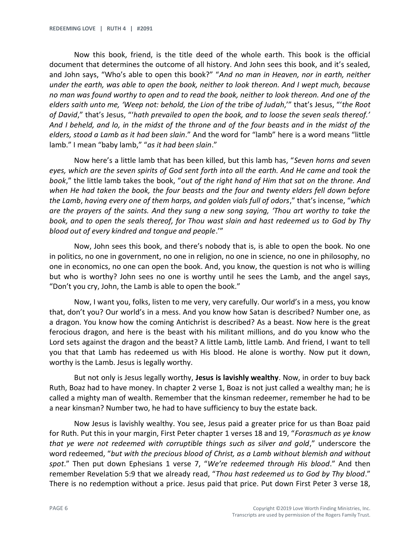Now this book, friend, is the title deed of the whole earth. This book is the official document that determines the outcome of all history. And John sees this book, and it's sealed, and John says, "Who's able to open this book?" "*And no man in Heaven, nor in earth, neither under the earth, was able to open the book, neither to look thereon. And I wept much, because no man was found worthy to open and to read the book, neither to look thereon. And one of the elders saith unto me, 'Weep not: behold, the Lion of the tribe of Judah*,'" that's Jesus, "'*the Root of David*," that's Jesus, "'*hath prevailed to open the book, and to loose the seven seals thereof.' And I beheld, and lo, in the midst of the throne and of the four beasts and in the midst of the elders, stood a Lamb as it had been slain*." And the word for "lamb" here is a word means "little lamb." I mean "baby lamb," "*as it had been slain*."

Now here's a little lamb that has been killed, but this lamb has, "*Seven horns and seven eyes, which are the seven spirits of God sent forth into all the earth. And He came and took the book*," the little lamb takes the book, "*out of the right hand of Him that sat on the throne. And when He had taken the book, the four beasts and the four and twenty elders fell down before the Lamb*, *having every one of them harps, and golden vials full of odors*," that's incense, "*which are the prayers of the saints. And they sung a new song saying, 'Thou art worthy to take the book, and to open the seals thereof, for Thou wast slain and hast redeemed us to God by Thy blood out of every kindred and tongue and people*.'"

Now, John sees this book, and there's nobody that is, is able to open the book. No one in politics, no one in government, no one in religion, no one in science, no one in philosophy, no one in economics, no one can open the book. And, you know, the question is not who is willing but who is worthy? John sees no one is worthy until he sees the Lamb, and the angel says, "Don't you cry, John, the Lamb is able to open the book."

Now, I want you, folks, listen to me very, very carefully. Our world's in a mess, you know that, don't you? Our world's in a mess. And you know how Satan is described? Number one, as a dragon. You know how the coming Antichrist is described? As a beast. Now here is the great ferocious dragon, and here is the beast with his militant millions, and do you know who the Lord sets against the dragon and the beast? A little Lamb, little Lamb. And friend, I want to tell you that that Lamb has redeemed us with His blood. He alone is worthy. Now put it down, worthy is the Lamb. Jesus is legally worthy.

But not only is Jesus legally worthy, **Jesus is lavishly wealthy**. Now, in order to buy back Ruth, Boaz had to have money. In chapter 2 verse 1, Boaz is not just called a wealthy man; he is called a mighty man of wealth. Remember that the kinsman redeemer, remember he had to be a near kinsman? Number two, he had to have sufficiency to buy the estate back.

Now Jesus is lavishly wealthy. You see, Jesus paid a greater price for us than Boaz paid for Ruth. Put this in your margin, First Peter chapter 1 verses 18 and 19, "*Forasmuch as ye know that ye were not redeemed with corruptible things such as silver and gold*," underscore the word redeemed, "*but with the precious blood of Christ, as a Lamb without blemish and without spot*." Then put down Ephesians 1 verse 7, "*We're redeemed through His blood*." And then remember Revelation 5:9 that we already read, "*Thou hast redeemed us to God by Thy blood*." There is no redemption without a price. Jesus paid that price. Put down First Peter 3 verse 18,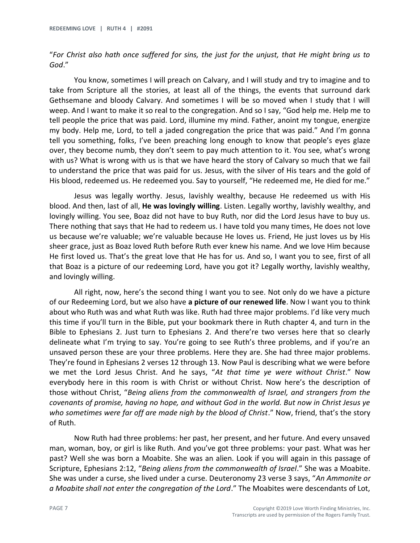"*For Christ also hath once suffered for sins, the just for the unjust, that He might bring us to God*."

You know, sometimes I will preach on Calvary, and I will study and try to imagine and to take from Scripture all the stories, at least all of the things, the events that surround dark Gethsemane and bloody Calvary. And sometimes I will be so moved when I study that I will weep. And I want to make it so real to the congregation. And so I say, "God help me. Help me to tell people the price that was paid. Lord, illumine my mind. Father, anoint my tongue, energize my body. Help me, Lord, to tell a jaded congregation the price that was paid." And I'm gonna tell you something, folks, I've been preaching long enough to know that people's eyes glaze over, they become numb, they don't seem to pay much attention to it. You see, what's wrong with us? What is wrong with us is that we have heard the story of Calvary so much that we fail to understand the price that was paid for us. Jesus, with the silver of His tears and the gold of His blood, redeemed us. He redeemed you. Say to yourself, "He redeemed me, He died for me."

Jesus was legally worthy. Jesus, lavishly wealthy, because He redeemed us with His blood. And then, last of all, **He was lovingly willing**. Listen. Legally worthy, lavishly wealthy, and lovingly willing. You see, Boaz did not have to buy Ruth, nor did the Lord Jesus have to buy us. There nothing that says that He had to redeem us. I have told you many times, He does not love us because we're valuable; we're valuable because He loves us. Friend, He just loves us by His sheer grace, just as Boaz loved Ruth before Ruth ever knew his name. And we love Him because He first loved us. That's the great love that He has for us. And so, I want you to see, first of all that Boaz is a picture of our redeeming Lord, have you got it? Legally worthy, lavishly wealthy, and lovingly willing.

All right, now, here's the second thing I want you to see. Not only do we have a picture of our Redeeming Lord, but we also have **a picture of our renewed life**. Now I want you to think about who Ruth was and what Ruth was like. Ruth had three major problems. I'd like very much this time if you'll turn in the Bible, put your bookmark there in Ruth chapter 4, and turn in the Bible to Ephesians 2. Just turn to Ephesians 2. And there're two verses here that so clearly delineate what I'm trying to say. You're going to see Ruth's three problems, and if you're an unsaved person these are your three problems. Here they are. She had three major problems. They're found in Ephesians 2 verses 12 through 13. Now Paul is describing what we were before we met the Lord Jesus Christ. And he says, "*At that time ye were without Christ*." Now everybody here in this room is with Christ or without Christ. Now here's the description of those without Christ, "*Being aliens from the commonwealth of Israel, and strangers from the covenants of promise, having no hope, and without God in the world. But now in Christ Jesus ye*  who sometimes were far off are made nigh by the blood of Christ." Now, friend, that's the story of Ruth.

Now Ruth had three problems: her past, her present, and her future. And every unsaved man, woman, boy, or girl is like Ruth. And you've got three problems: your past. What was her past? Well she was born a Moabite. She was an alien. Look if you will again in this passage of Scripture, Ephesians 2:12, "*Being aliens from the commonwealth of Israel*." She was a Moabite. She was under a curse, she lived under a curse. Deuteronomy 23 verse 3 says, "*An Ammonite or a Moabite shall not enter the congregation of the Lord*." The Moabites were descendants of Lot,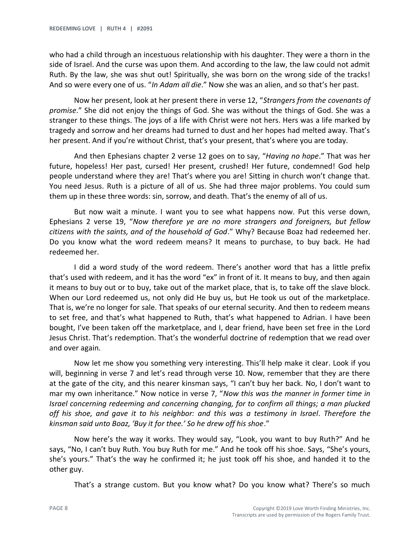who had a child through an incestuous relationship with his daughter. They were a thorn in the side of Israel. And the curse was upon them. And according to the law, the law could not admit Ruth. By the law, she was shut out! Spiritually, she was born on the wrong side of the tracks! And so were every one of us. "*In Adam all die*." Now she was an alien, and so that's her past.

Now her present, look at her present there in verse 12, "*Strangers from the covenants of promise*." She did not enjoy the things of God. She was without the things of God. She was a stranger to these things. The joys of a life with Christ were not hers. Hers was a life marked by tragedy and sorrow and her dreams had turned to dust and her hopes had melted away. That's her present. And if you're without Christ, that's your present, that's where you are today.

And then Ephesians chapter 2 verse 12 goes on to say, "*Having no hope*." That was her future, hopeless! Her past, cursed! Her present, crushed! Her future, condemned! God help people understand where they are! That's where you are! Sitting in church won't change that. You need Jesus. Ruth is a picture of all of us. She had three major problems. You could sum them up in these three words: sin, sorrow, and death. That's the enemy of all of us.

But now wait a minute. I want you to see what happens now. Put this verse down, Ephesians 2 verse 19, "*Now therefore ye are no more strangers and foreigners, but fellow citizens with the saints, and of the household of God*." Why? Because Boaz had redeemed her. Do you know what the word redeem means? It means to purchase, to buy back. He had redeemed her.

I did a word study of the word redeem. There's another word that has a little prefix that's used with redeem, and it has the word "ex" in front of it. It means to buy, and then again it means to buy out or to buy, take out of the market place, that is, to take off the slave block. When our Lord redeemed us, not only did He buy us, but He took us out of the marketplace. That is, we're no longer for sale. That speaks of our eternal security. And then to redeem means to set free, and that's what happened to Ruth, that's what happened to Adrian. I have been bought, I've been taken off the marketplace, and I, dear friend, have been set free in the Lord Jesus Christ. That's redemption. That's the wonderful doctrine of redemption that we read over and over again.

Now let me show you something very interesting. This'll help make it clear. Look if you will, beginning in verse 7 and let's read through verse 10. Now, remember that they are there at the gate of the city, and this nearer kinsman says, "I can't buy her back. No, I don't want to mar my own inheritance." Now notice in verse 7, "*Now this was the manner in former time in Israel concerning redeeming and concerning changing, for to confirm all things; a man plucked off his shoe, and gave it to his neighbor: and this was a testimony in Israel*. *Therefore the kinsman said unto Boaz, 'Buy it for thee.' So he drew off his shoe*."

Now here's the way it works. They would say, "Look, you want to buy Ruth?" And he says, "No, I can't buy Ruth. You buy Ruth for me." And he took off his shoe. Says, "She's yours, she's yours." That's the way he confirmed it; he just took off his shoe, and handed it to the other guy.

That's a strange custom. But you know what? Do you know what? There's so much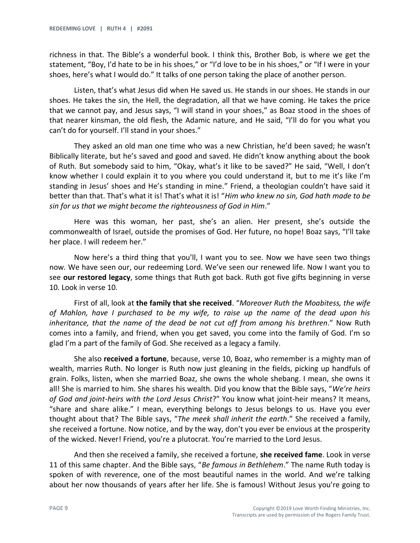richness in that. The Bible's a wonderful book. I think this, Brother Bob, is where we get the statement, "Boy, I'd hate to be in his shoes," or "I'd love to be in his shoes," or "If I were in your shoes, here's what I would do." It talks of one person taking the place of another person.

Listen, that's what Jesus did when He saved us. He stands in our shoes. He stands in our shoes. He takes the sin, the Hell, the degradation, all that we have coming. He takes the price that we cannot pay, and Jesus says, "I will stand in your shoes," as Boaz stood in the shoes of that nearer kinsman, the old flesh, the Adamic nature, and He said, "I'll do for you what you can't do for yourself. I'll stand in your shoes."

They asked an old man one time who was a new Christian, he'd been saved; he wasn't Biblically literate, but he's saved and good and saved. He didn't know anything about the book of Ruth. But somebody said to him, "Okay, what's it like to be saved?" He said, "Well, I don't know whether I could explain it to you where you could understand it, but to me it's like I'm standing in Jesus' shoes and He's standing in mine." Friend, a theologian couldn't have said it better than that. That's what it is! That's what it is! "*Him who knew no sin, God hath made to be sin for us that we might become the righteousness of God in Him*."

Here was this woman, her past, she's an alien. Her present, she's outside the commonwealth of Israel, outside the promises of God. Her future, no hope! Boaz says, "I'll take her place. I will redeem her."

Now here's a third thing that you'll, I want you to see. Now we have seen two things now. We have seen our, our redeeming Lord. We've seen our renewed life. Now I want you to see **our restored legacy**, some things that Ruth got back. Ruth got five gifts beginning in verse 10. Look in verse 10.

First of all, look at **the family that she received**. "*Moreover Ruth the Moabitess, the wife of Mahlon, have I purchased to be my wife, to raise up the name of the dead upon his inheritance, that the name of the dead be not cut off from among his brethren*." Now Ruth comes into a family, and friend, when you get saved, you come into the family of God. I'm so glad I'm a part of the family of God. She received as a legacy a family.

She also **received a fortune**, because, verse 10, Boaz, who remember is a mighty man of wealth, marries Ruth. No longer is Ruth now just gleaning in the fields, picking up handfuls of grain. Folks, listen, when she married Boaz, she owns the whole shebang. I mean, she owns it all! She is married to him. She shares his wealth. Did you know that the Bible says, "*We're heirs of God and joint-heirs with the Lord Jesus Christ*?" You know what joint-heir means? It means, "share and share alike." I mean, everything belongs to Jesus belongs to us. Have you ever thought about that? The Bible says, "*The meek shall inherit the earth*." She received a family, she received a fortune. Now notice, and by the way, don't you ever be envious at the prosperity of the wicked. Never! Friend, you're a plutocrat. You're married to the Lord Jesus.

And then she received a family, she received a fortune, **she received fame**. Look in verse 11 of this same chapter. And the Bible says, "*Be famous in Bethlehem*." The name Ruth today is spoken of with reverence, one of the most beautiful names in the world. And we're talking about her now thousands of years after her life. She is famous! Without Jesus you're going to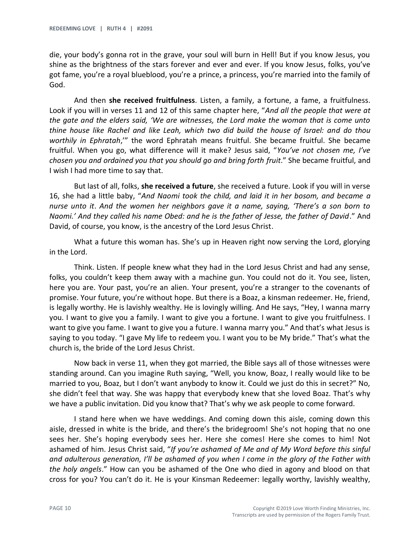die, your body's gonna rot in the grave, your soul will burn in Hell! But if you know Jesus, you shine as the brightness of the stars forever and ever and ever. If you know Jesus, folks, you've got fame, you're a royal blueblood, you're a prince, a princess, you're married into the family of God.

And then **she received fruitfulness**. Listen, a family, a fortune, a fame, a fruitfulness. Look if you will in verses 11 and 12 of this same chapter here, "*And all the people that were at the gate and the elders said, 'We are witnesses, the Lord make the woman that is come unto thine house like Rachel and like Leah, which two did build the house of Israel: and do thou worthily in Ephratah*,'" the word Ephratah means fruitful. She became fruitful. She became fruitful. When you go, what difference will it make? Jesus said, "*You've not chosen me, I've chosen you and ordained you that you should go and bring forth fruit*." She became fruitful, and I wish I had more time to say that.

But last of all, folks, **she received a future**, she received a future. Look if you will in verse 16, she had a little baby, "*And Naomi took the child, and laid it in her bosom, and became a nurse unto it*. *And the women her neighbors gave it a name, saying, 'There's a son born to Naomi.' And they called his name Obed: and he is the father of Jesse, the father of David*." And David, of course, you know, is the ancestry of the Lord Jesus Christ.

What a future this woman has. She's up in Heaven right now serving the Lord, glorying in the Lord.

Think. Listen. If people knew what they had in the Lord Jesus Christ and had any sense, folks, you couldn't keep them away with a machine gun. You could not do it. You see, listen, here you are. Your past, you're an alien. Your present, you're a stranger to the covenants of promise. Your future, you're without hope. But there is a Boaz, a kinsman redeemer. He, friend, is legally worthy. He is lavishly wealthy. He is lovingly willing. And He says, "Hey, I wanna marry you. I want to give you a family. I want to give you a fortune. I want to give you fruitfulness. I want to give you fame. I want to give you a future. I wanna marry you." And that's what Jesus is saying to you today. "I gave My life to redeem you. I want you to be My bride." That's what the church is, the bride of the Lord Jesus Christ.

Now back in verse 11, when they got married, the Bible says all of those witnesses were standing around. Can you imagine Ruth saying, "Well, you know, Boaz, I really would like to be married to you, Boaz, but I don't want anybody to know it. Could we just do this in secret?" No, she didn't feel that way. She was happy that everybody knew that she loved Boaz. That's why we have a public invitation. Did you know that? That's why we ask people to come forward.

I stand here when we have weddings. And coming down this aisle, coming down this aisle, dressed in white is the bride, and there's the bridegroom! She's not hoping that no one sees her. She's hoping everybody sees her. Here she comes! Here she comes to him! Not ashamed of him. Jesus Christ said, "*If you're ashamed of Me and of My Word before this sinful and adulterous generation, I'll be ashamed of you when I come in the glory of the Father with the holy angels*." How can you be ashamed of the One who died in agony and blood on that cross for you? You can't do it. He is your Kinsman Redeemer: legally worthy, lavishly wealthy,